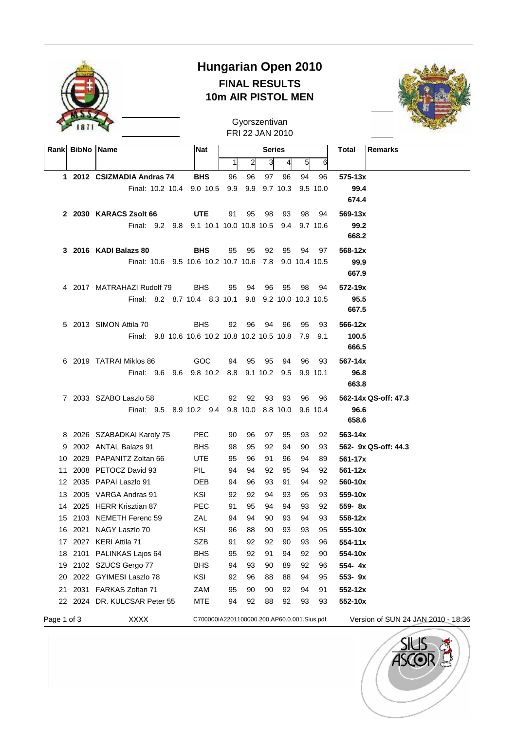

## **Hungarian Open 2010 FINAL RESULTS 10m AIR PISTOL MEN**



FRI 22 JAN 2010 Gyorszentivan

|             | Rank BibNo Name |                                                 | Nat                                         |          |                | <b>Series</b> |                        |          |               | Total<br>Remarks                   |
|-------------|-----------------|-------------------------------------------------|---------------------------------------------|----------|----------------|---------------|------------------------|----------|---------------|------------------------------------|
|             |                 |                                                 |                                             | 1        | $\overline{2}$ | 3             | 4                      | 5        | 6             |                                    |
|             |                 | 1 2012 CSIZMADIA Andras 74                      | <b>BHS</b>                                  | 96       | 96             | 97            | 96                     | 94       | 96            | 575-13x                            |
|             |                 | Final: 10.2 10.4 9.0 10.5                       |                                             | 9.9      | 9.9            |               | $9.7$ 10.3             |          | 9.5 10.0      | 99.4                               |
|             |                 |                                                 |                                             |          |                |               |                        |          |               | 674.4                              |
|             |                 | 2 2030 KARACS Zsolt 66                          | <b>UTE</b>                                  | 91       | 95             | 98            | 93                     | 98       | 94            | 569-13x                            |
|             |                 | Final: 9.2 9.8                                  | 9.1 10.1 10.0 10.8 10.5                     |          |                |               | 9.4                    |          | 9.7 10.6      | 99.2                               |
|             |                 |                                                 |                                             |          |                |               |                        |          |               | 668.2                              |
|             |                 | 3 2016 KADI Balazs 80                           | <b>BHS</b>                                  | 95       | 95             | 92            | 95                     | 94       | 97            | 568-12x                            |
|             |                 | Final: 10.6 9.5 10.6 10.2 10.7 10.6 7.8         |                                             |          |                |               |                        |          | 9.0 10.4 10.5 | 99.9                               |
|             |                 |                                                 |                                             |          |                |               |                        |          |               | 667.9                              |
|             |                 | 4 2017 MATRAHAZI Rudolf 79                      | <b>BHS</b>                                  | 95       | 94             | 96            | 95                     | 98       | 94            | 572-19x                            |
|             |                 | Final: 8.2 8.7 10.4 8.3 10.1                    |                                             |          |                |               | 9.8 9.2 10.0 10.3 10.5 |          |               | 95.5                               |
|             |                 |                                                 |                                             |          |                |               |                        |          |               | 667.5                              |
|             |                 | 5 2013 SIMON Attila 70                          | <b>BHS</b>                                  | 92       | 96             | 94            | 96                     | 95       | 93            | 566-12x                            |
|             |                 | Final: 9.8 10.6 10.6 10.2 10.8 10.2 10.5 10.8   |                                             |          |                |               |                        | 7.9      | - 9.1         | 100.5                              |
|             |                 |                                                 |                                             |          |                |               |                        |          |               | 666.5                              |
|             |                 | 6 2019 TATRAI Miklos 86                         | GOC                                         | 94       | 95             | 95            | 94                     | 96       | 93            | 567-14x                            |
|             |                 | Final: 9.6 9.6 9.8 10.2 8.8                     |                                             |          |                | 9.1 10.2      | 9.5                    |          | 9.9 10.1      | 96.8                               |
|             |                 |                                                 |                                             |          |                |               |                        |          |               | 663.8                              |
|             |                 | 7 2033 SZABO Laszlo 58                          | KEC.                                        | 92       | 92             | 93            | 93                     | 96       | 96            | 562-14x QS-off: 47.3               |
|             |                 | Final: 9.5 8.9 10.2 9.4 9.8 10.0 8.8 10.0       |                                             |          |                |               |                        |          | 9.6 10.4      | 96.6                               |
|             |                 |                                                 |                                             |          |                |               |                        |          |               | 658.6                              |
|             |                 | 8 2026 SZABADKAI Karoly 75                      | <b>PEC</b>                                  | 90       | 96             | 97            | 95                     | 93       | 92            | 563-14x                            |
| 9           |                 | 2002 ANTAL Balazs 91                            | <b>BHS</b>                                  | 98       | 95             | 92            | 94                     | 90       | 93            | 562- 9x QS-off: 44.3               |
| 10          |                 | 2029 PAPANITZ Zoltan 66                         | <b>UTE</b>                                  | 95       | 96             | 91            | 96                     | 94       | 89            | 561-17x                            |
| 11          |                 | 2008 PETOCZ David 93                            | PIL                                         | 94       | 94             | 92            | 95                     | 94       | 92            | 561-12x                            |
| 12          |                 | 2035 PAPAI Laszlo 91                            | DEB                                         | 94       | 96             | 93            | 91                     | 94       | 92            | 560-10x                            |
|             |                 | 13 2005 VARGA Andras 91                         | KSI                                         | 92       | 92             | 94            | 93                     | 95       | 93            | 559-10x                            |
| 14          |                 | 2025 HERR Krisztian 87                          | <b>PEC</b>                                  | 91       | 95             | 94            | 94                     | 93       | 92            | 559-8x                             |
| 15          |                 | 2103 NEMETH Ferenc 59<br>16 2021 NAGY Laszlo 70 | ZAL<br>KSI                                  | 94       | 94<br>88       | 90<br>90      | 93<br>93               | 94<br>93 | 93<br>95      | 558-12x<br>555-10x                 |
|             |                 |                                                 |                                             | 96       |                |               |                        |          |               |                                    |
| 17          |                 | 2027 KERI Attila 71<br>PALINKAS Lajos 64        | <b>SZB</b><br><b>BHS</b>                    | 91       | 92<br>92       | 92<br>91      | 90<br>94               | 93<br>92 | 96            | 554-11x<br>554-10x                 |
| 18<br>19    | 2101            | 2102 SZUCS Gergo 77                             | <b>BHS</b>                                  | 95<br>94 | 93             | 90            | 89                     | 92       | 90<br>96      | 554-4x                             |
| 20          |                 | 2022 GYIMESI Laszlo 78                          | KSI                                         | 92       | 96             | 88            | 88                     | 94       | 95            | 553-9x                             |
| 21          |                 | 2031 FARKAS Zoltan 71                           | ZAM                                         | 95       | 90             | 90            | 92                     | 94       | 91            | 552-12x                            |
|             |                 | 22 2024 DR. KULCSAR Peter 55                    | <b>MTE</b>                                  | 94       | 92             | 88            | 92                     | 93       | 93            | 552-10x                            |
|             |                 |                                                 |                                             |          |                |               |                        |          |               |                                    |
| Page 1 of 3 |                 | <b>XXXX</b>                                     | C700000IA2201100000.200.AP60.0.001.Sius.pdf |          |                |               |                        |          |               | Version of SUN 24 JAN 2010 - 18:36 |

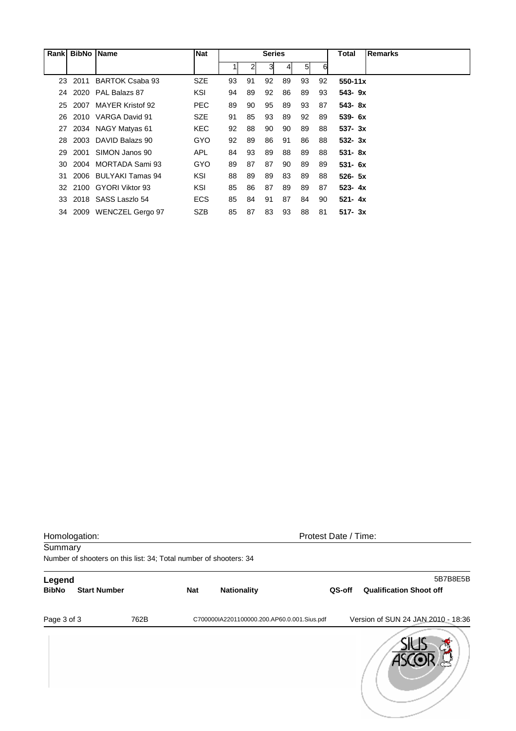| Rank | <b>BibNo</b> | <b>Name</b>             | <b>Nat</b> |    |                | <b>Series</b> |               |    |    | Total       | <b>Remarks</b> |
|------|--------------|-------------------------|------------|----|----------------|---------------|---------------|----|----|-------------|----------------|
|      |              |                         |            |    | $\overline{2}$ | 31            | $\frac{4}{ }$ | 51 | 6  |             |                |
| 23   | 2011         | BARTOK Csaba 93         | <b>SZE</b> | 93 | 91             | 92            | 89            | 93 | 92 | $550 - 11x$ |                |
| 24   |              | 2020 PAL Balazs 87      | KSI        | 94 | 89             | 92            | 86            | 89 | 93 | $543 - 9x$  |                |
| 25   | 2007         | <b>MAYER Kristof 92</b> | <b>PEC</b> | 89 | 90             | 95            | 89            | 93 | 87 | 543-8x      |                |
| 26   | 2010         | VARGA David 91          | <b>SZE</b> | 91 | 85             | 93            | 89            | 92 | 89 | $539 - 6x$  |                |
| 27   |              | 2034 NAGY Matyas 61     | <b>KEC</b> | 92 | 88             | 90            | 90            | 89 | 88 | $537 - 3x$  |                |
| 28   | 2003         | DAVID Balazs 90         | GYO        | 92 | 89             | 86            | 91            | 86 | 88 | $532 - 3x$  |                |
| 29   | 2001         | SIMON Janos 90          | <b>APL</b> | 84 | 93             | 89            | 88            | 89 | 88 | $531 - 8x$  |                |
| 30   | 2004         | MORTADA Sami 93         | <b>GYO</b> | 89 | 87             | 87            | 90            | 89 | 89 | $531 - 6x$  |                |
| 31   |              | 2006 BULYAKI Tamas 94   | KSI        | 88 | 89             | 89            | 83            | 89 | 88 | $526 - 5x$  |                |
| 32   |              | 2100 GYORI Viktor 93    | KSI        | 85 | 86             | 87            | 89            | 89 | 87 | $523 - 4x$  |                |
| 33   |              | 2018 SASS Laszlo 54     | <b>ECS</b> | 85 | 84             | 91            | 87            | 84 | 90 | $521 - 4x$  |                |
|      | 34 2009      | <b>WENCZEL Gergo 97</b> | <b>SZB</b> | 85 | 87             | 83            | 93            | 88 | 81 | $517 - 3x$  |                |

| Homologation:<br>Summary |                     |      | Protest Date / Time:<br>Number of shooters on this list: 34; Total number of shooters: 34 |                                             |        |                                            |  |  |  |  |  |
|--------------------------|---------------------|------|-------------------------------------------------------------------------------------------|---------------------------------------------|--------|--------------------------------------------|--|--|--|--|--|
| Legend<br><b>BibNo</b>   | <b>Start Number</b> |      | <b>Nat</b>                                                                                | <b>Nationality</b>                          | QS-off | 5B7B8E5B<br><b>Qualification Shoot off</b> |  |  |  |  |  |
| Page 3 of 3              |                     | 762B |                                                                                           | C700000IA2201100000.200.AP60.0.001.Sius.pdf |        | Version of SUN 24 JAN 2010 - 18:36         |  |  |  |  |  |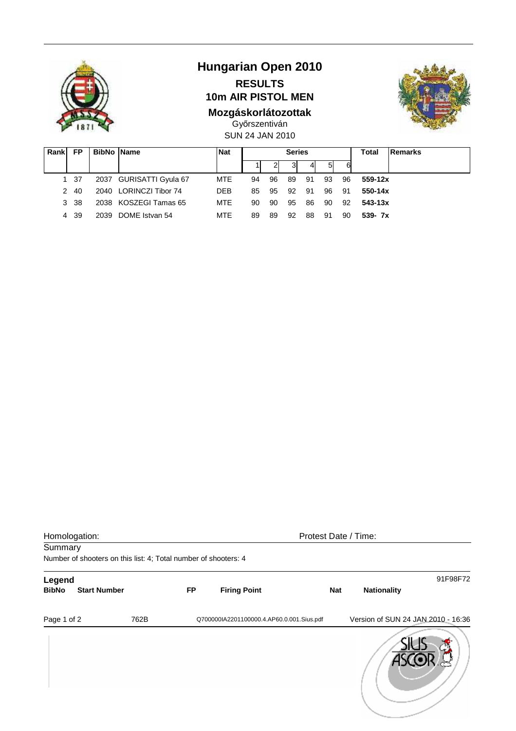

# **Hungarian Open 2010 RESULTS**

**10m AIR PISTOL MEN** 

## **Mozgáskorlátozottak**



SUN 24 JAN 2010 Győrszentiván

| Rank | FP   | <b>BibNo Name</b> |                         | <b>Nat</b> | <b>Series</b> |    |    |     |     |    | Total   | Remarks |
|------|------|-------------------|-------------------------|------------|---------------|----|----|-----|-----|----|---------|---------|
|      |      |                   |                         |            |               |    | 3  |     | 51  | 6  |         |         |
|      | 1 37 |                   | 2037 GURISATTI Gyula 67 | MTE        | 94            | 96 | 89 | -91 | 93  | 96 | 559-12x |         |
|      | 2 40 |                   | 2040 LORINCZI Tibor 74  | <b>DEB</b> | 85            | 95 | 92 | 91  | 96  | 91 | 550-14x |         |
|      | 3 38 |                   | 2038 KOSZEGI Tamas 65   | <b>MTE</b> | 90            | 90 | 95 | 86  | 90  | 92 | 543-13x |         |
|      | 4 39 |                   | 2039 DOME Istvan 54     | <b>MTE</b> | 89            | 89 | 92 | 88  | -91 | 90 | 539-7x  |         |

| Homologation: |                                                                 |      |           | Protest Date / Time:                      |            |                                    |          |
|---------------|-----------------------------------------------------------------|------|-----------|-------------------------------------------|------------|------------------------------------|----------|
| Summary       |                                                                 |      |           |                                           |            |                                    |          |
|               | Number of shooters on this list: 4; Total number of shooters: 4 |      |           |                                           |            |                                    |          |
| Legend        |                                                                 |      |           |                                           |            |                                    | 91F98F72 |
| <b>BibNo</b>  | <b>Start Number</b>                                             |      | <b>FP</b> | <b>Firing Point</b>                       | <b>Nat</b> | <b>Nationality</b>                 |          |
| Page 1 of 2   |                                                                 | 762B |           | Q700000IA2201100000.4.AP60.0.001.Sius.pdf |            | Version of SUN 24 JAN 2010 - 16:36 |          |
|               |                                                                 |      |           |                                           |            |                                    |          |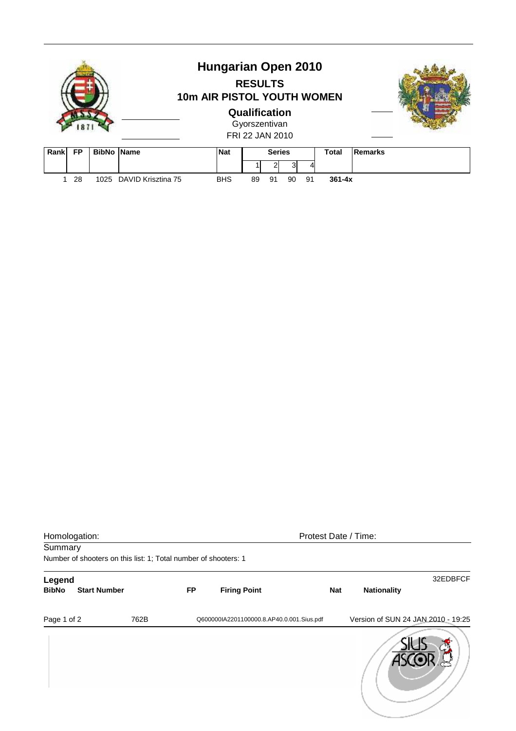|                                        |            | <b>Hungarian Open 2010</b><br><b>RESULTS</b><br>10m AIR PISTOL YOUTH WOMEN<br>Qualification |       |         |  |
|----------------------------------------|------------|---------------------------------------------------------------------------------------------|-------|---------|--|
|                                        |            | Gyorszentivan<br>FRI 22 JAN 2010                                                            |       |         |  |
| <b>BibNo Name</b><br>Rank<br><b>FP</b> | <b>Nat</b> | <b>Series</b>                                                                               | Total | Remarks |  |

|  | 1 28 | 1025 DAVID Krisztina 75 | <b>BHS</b> | 89 91 90 91 |  | 361-4x |
|--|------|-------------------------|------------|-------------|--|--------|
|  |      |                         |            |             |  |        |

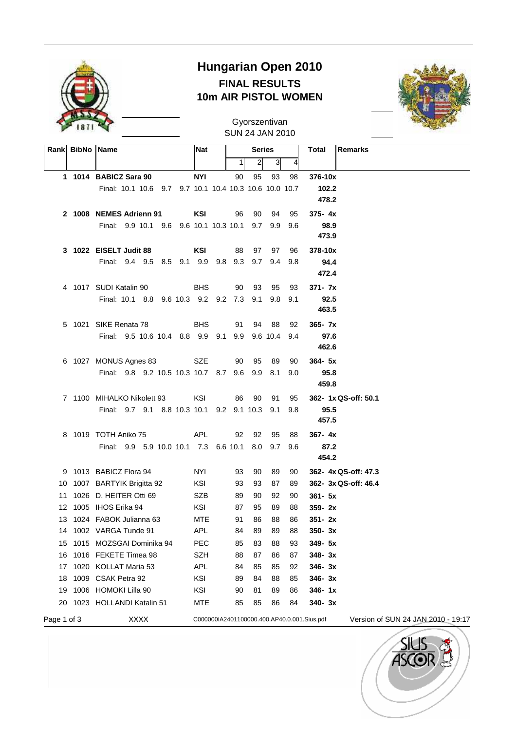

## **Hungarian Open 2010 FINAL RESULTS 10m AIR PISTOL WOMEN**



SUN 24 JAN 2010 Gyorszentivan

|             | Rank BibNo Name                                        | <b>Nat</b>                                  |    | <b>Series</b>  |                |         | Total<br><b>Remarks</b>            |
|-------------|--------------------------------------------------------|---------------------------------------------|----|----------------|----------------|---------|------------------------------------|
|             |                                                        |                                             | 1  | $\overline{2}$ | 3 <sup>1</sup> | 4       |                                    |
|             | 1 1014 BABICZ Sara 90                                  | <b>NYI</b>                                  | 90 | 95             | 93             | 98      | 376-10x                            |
|             | Final: 10.1 10.6 9.7 9.7 10.1 10.4 10.3 10.6 10.0 10.7 |                                             |    |                |                |         | 102.2                              |
|             |                                                        |                                             |    |                |                |         | 478.2                              |
|             | 2 1008 NEMES Adrienn 91                                | KSI                                         | 96 | 90             | 94             | 95      | $375 - 4x$                         |
|             | Final: 9.9 10.1 9.6 9.6 10.1 10.3 10.1 9.7             |                                             |    |                |                | 9.9 9.6 | 98.9                               |
|             |                                                        |                                             |    |                |                |         | 473.9                              |
|             | 3 1022 EISELT Judit 88                                 | KSI                                         | 88 | 97             | 97             | 96      | 378-10x                            |
|             | Final: 9.4 9.5 8.5 9.1 9.9 9.8 9.3 9.7 9.4 9.8         |                                             |    |                |                |         | 94.4                               |
|             |                                                        |                                             |    |                |                |         | 472.4                              |
|             | 4 1017 SUDI Katalin 90                                 | <b>BHS</b>                                  | 90 | - 93           | 95             | 93      | 371- 7x                            |
|             | Final: 10.1 8.8 9.6 10.3 9.2 9.2 7.3 9.1               |                                             |    |                | 9.8            | 9.1     | 92.5                               |
|             |                                                        |                                             |    |                |                |         | 463.5                              |
|             | 5 1021 SIKE Renata 78                                  | <b>BHS</b>                                  | 91 | 94             | - 88           | 92      | $365 - 7x$                         |
|             | Final: 9.5 10.6 10.4 8.8 9.9 9.1 9.9 9.6 10.4 9.4      |                                             |    |                |                |         | 97.6                               |
|             |                                                        |                                             |    |                |                |         | 462.6                              |
|             | 6 1027 MONUS Agnes 83 SZE                              |                                             | 90 | 95             | 89             | 90      | $364 - 5x$                         |
|             | Final: 9.8 9.2 10.5 10.3 10.7 8.7 9.6 9.9              |                                             |    |                | 8.1            | 9.0     | 95.8                               |
|             |                                                        |                                             |    |                |                |         | 459.8                              |
|             | 7 1100 MIHALKO Nikolett 93                             | KSI                                         | 86 | 90             | 91             | 95      | 362- 1x QS-off: 50.1               |
|             | Final: 9.7 9.1 8.8 10.3 10.1 9.2 9.1 10.3              |                                             |    |                | 9.1            | 9.8     | 95.5<br>457.5                      |
|             | 8 1019 TOTH Aniko 75                                   | APL                                         | 92 | 92             | 95             | 88      |                                    |
|             |                                                        |                                             |    |                |                |         | 367-4x                             |
|             | Final: 9.9 5.9 10.0 10.1 7.3 6.6 10.1 8.0 9.7 9.6      |                                             |    |                |                |         | 87.2<br>454.2                      |
|             | 9 1013 BABICZ Flora 94                                 | NYI                                         | 93 | 90             | 89             | 90      | 362- 4x QS-off: 47.3               |
|             | 10 1007 BARTYIK Brigitta 92                            | KSI                                         | 93 | 93             | 87             | 89      | 362- 3x QS-off: 46.4               |
|             | 11 1026 D. HEITER Otti 69                              | <b>SZB</b>                                  | 89 | 90             | 92             | 90      | $361 - 5x$                         |
|             | 12 1005 IHOS Erika 94                                  | KSI                                         | 87 | 95             | 89             | 88      | $359 - 2x$                         |
|             | 13 1024 FABOK Julianna 63                              | <b>MTE</b>                                  | 91 | 86             | 88             | 86      | $351 - 2x$                         |
|             | 14 1002 VARGA Tunde 91                                 | APL                                         |    | 84 89          | 89             | 88      | 350-3x                             |
| 15          | 1015 MOZSGAI Dominika 94                               | <b>PEC</b>                                  | 85 | 83             | 88             | 93      | 349- 5x                            |
| 16          | 1016 FEKETE Timea 98                                   | <b>SZH</b>                                  | 88 | 87             | 86             | 87      | 348-3x                             |
| 17          | 1020 KOLLAT Maria 53                                   | <b>APL</b>                                  | 84 | 85             | 85             | 92      | $346 - 3x$                         |
| 18          | 1009 CSAK Petra 92                                     | KSI                                         | 89 | 84             | 88             | 85      | $346 - 3x$                         |
| 19          | 1006 HOMOKI Lilla 90                                   | KSI                                         | 90 | 81             | 89             | 86      | $346 - 1x$                         |
| 20          | 1023 HOLLANDI Katalin 51                               | MTE                                         | 85 | 85             | 86             | 84      | $340 - 3x$                         |
| Page 1 of 3 | <b>XXXX</b>                                            | C000000IA2401100000.400.AP40.0.001.Sius.pdf |    |                |                |         | Version of SUN 24 JAN 2010 - 19:17 |

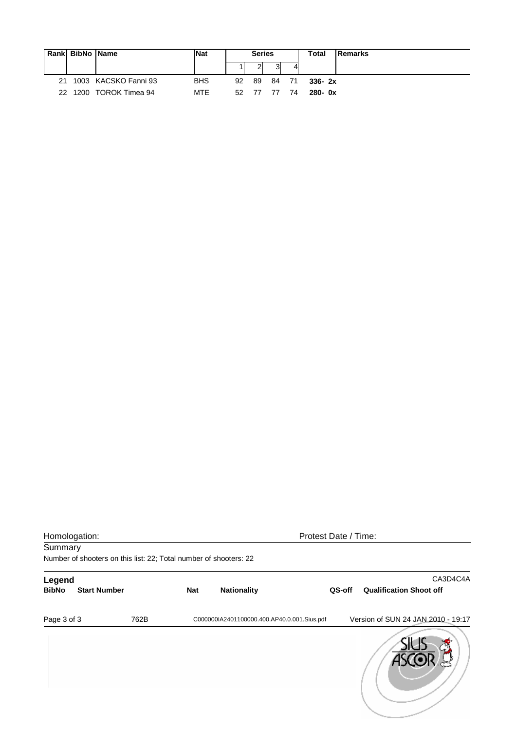|     | Rank BibNo Name |                      | <b>Nat</b> |    | <b>Series</b> |      |      | Total      | Remarks |
|-----|-----------------|----------------------|------------|----|---------------|------|------|------------|---------|
|     |                 |                      |            |    |               |      |      |            |         |
| 21  |                 | 1003 KACSKO Fanni 93 | <b>BHS</b> | 92 | 89            | - 84 | - 71 | $336 - 2x$ |         |
| 22. |                 | 1200 TOROK Timea 94  | <b>MTE</b> | 52 | -77           | - 77 | 74   | $280 - 0x$ |         |

| Homologation: |                                                                   |      | Protest Date / Time: |                                             |        |                                    |  |  |
|---------------|-------------------------------------------------------------------|------|----------------------|---------------------------------------------|--------|------------------------------------|--|--|
| Summary       |                                                                   |      |                      |                                             |        |                                    |  |  |
|               | Number of shooters on this list: 22; Total number of shooters: 22 |      |                      |                                             |        |                                    |  |  |
| Legend        |                                                                   |      |                      |                                             |        | CA3D4C4A                           |  |  |
| <b>BibNo</b>  | <b>Start Number</b>                                               |      | <b>Nat</b>           | <b>Nationality</b>                          | QS-off | <b>Qualification Shoot off</b>     |  |  |
| Page 3 of 3   |                                                                   | 762B |                      | C000000IA2401100000.400.AP40.0.001.Sius.pdf |        | Version of SUN 24 JAN 2010 - 19:17 |  |  |
|               |                                                                   |      |                      |                                             |        |                                    |  |  |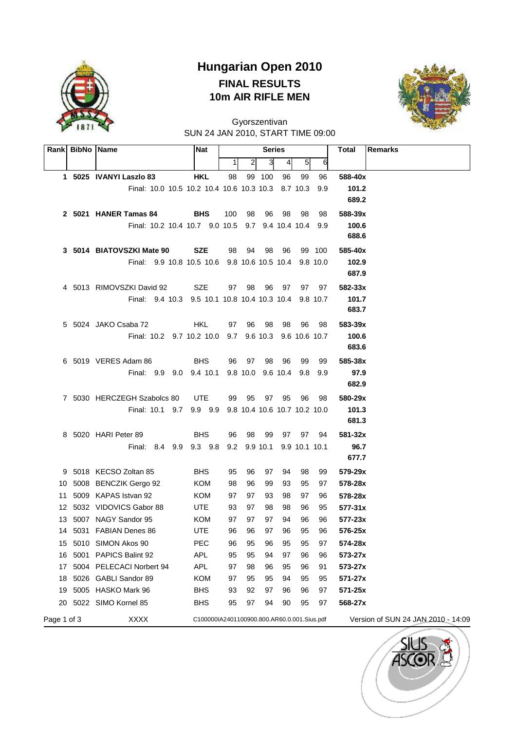

## **Hungarian Open 2010 FINAL RESULTS 10m AIR RIFLE MEN**



SUN 24 JAN 2010, START TIME 09:00 Gyorszentivan

| Rank        | <b>BibNo Name</b> |                                                       | Nat                                         |              |                | <b>Series</b>         |          |                |               | <b>Total</b><br><b>Remarks</b>     |
|-------------|-------------------|-------------------------------------------------------|---------------------------------------------|--------------|----------------|-----------------------|----------|----------------|---------------|------------------------------------|
|             |                   |                                                       |                                             | $\mathbf{1}$ | $\overline{2}$ | 3                     | 4        | 5 <sup>1</sup> | 6             |                                    |
|             |                   | 1 5025 IVANYI Laszlo 83                               | <b>HKL</b>                                  | 98           |                | 99 100                | 96       | 99             | 96            | 588-40x                            |
|             |                   | Final: 10.0 10.5 10.2 10.4 10.6 10.3 10.3             |                                             |              |                |                       |          | 8.7 10.3       | 9.9           | 101.2                              |
|             |                   |                                                       |                                             |              |                |                       |          |                |               | 689.2                              |
|             |                   | 2 5021 HANER Tamas 84                                 | <b>BHS</b>                                  | 100          | 98             | 96                    | - 98     | 98             | 98            | 588-39x                            |
|             |                   | Final: 10.2 10.4 10.7 9.0 10.5 9.7 9.4 10.4 10.4      |                                             |              |                |                       |          |                | 9.9           | 100.6                              |
|             |                   |                                                       |                                             |              |                |                       |          |                |               | 688.6                              |
|             |                   | 3 5014 BIATOVSZKI Mate 90                             | <b>SZE</b>                                  | 98           | 94             | 98                    | 96       |                | 99 100        | 585-40x                            |
|             |                   | Final: 9.9 10.8 10.5 10.6 9.8 10.6 10.5 10.4 9.8 10.0 |                                             |              |                |                       |          |                |               | 102.9                              |
|             |                   |                                                       |                                             |              |                |                       |          |                |               | 687.9                              |
|             |                   | 4 5013 RIMOVSZKI David 92                             | SZE                                         | 97           | 98             | 96                    | 97       | 97             | 97            | 582-33x                            |
|             |                   | Final: 9.4 10.3 9.5 10.1 10.8 10.4 10.3 10.4 9.8 10.7 |                                             |              |                |                       |          |                |               | 101.7<br>683.7                     |
|             |                   | 5 5024 JAKO Csaba 72                                  | <b>HKL</b>                                  | 97           | 96             | 98                    | 98       | 96             | 98            | 583-39x                            |
|             |                   | Final: 10.2 9.7 10.2 10.0 9.7 9.6 10.3                |                                             |              |                |                       |          |                | 9.6 10.6 10.7 | 100.6                              |
|             |                   |                                                       |                                             |              |                |                       |          |                |               | 683.6                              |
|             |                   | 6 5019 VERES Adam 86                                  | <b>BHS</b>                                  | 96           | 97             | 98                    | 96       | 99             | 99            | 585-38x                            |
|             |                   | Final: 9.9 9.0 9.4 10.1                               |                                             |              |                | 9.8 10.0 9.6 10.4 9.8 |          |                | 9.9           | 97.9                               |
|             |                   |                                                       |                                             |              |                |                       |          |                |               | 682.9                              |
|             |                   | 7 5030 HERCZEGH Szabolcs 80                           | UTE                                         | 99           | 95             | 97                    | 95       | 96             | 98            | 580-29x                            |
|             |                   | Final: 10.1 9.7 9.9 9.9 9.8 10.4 10.6 10.7 10.2 10.0  |                                             |              |                |                       |          |                |               | 101.3                              |
|             |                   |                                                       |                                             |              |                |                       |          |                |               | 681.3                              |
|             |                   | 8 5020 HARI Peter 89                                  | <b>BHS</b>                                  | 96           | 98             | 99                    |          | 97 97          | 94            | 581-32x                            |
|             |                   | Final: 8.4 9.9 9.3 9.8 9.2 9.9 10.1 9.9 10.1 10.1     |                                             |              |                |                       |          |                |               | 96.7                               |
|             |                   |                                                       |                                             |              |                |                       |          |                |               | 677.7                              |
| 9           |                   | 5018 KECSO Zoltan 85                                  | <b>BHS</b>                                  | 95           | 96             | 97                    | 94       | 98             | 99            | 579-29x                            |
| 10.         |                   | 5008 BENCZIK Gergo 92                                 | <b>KOM</b>                                  | 98           | 96             | 99                    | 93       | 95             | 97            | 578-28x                            |
| 11          |                   | 5009 KAPAS Istvan 92                                  | KOM                                         | 97           | 97             | 93                    | 98       | 97             | 96            | 578-28x                            |
|             |                   | 12 5032 VIDOVICS Gabor 88                             | UTE.                                        | 93           | 97             | 98                    | 98       | 96             | 95            | $577 - 31x$                        |
|             |                   | 13 5007 NAGY Sandor 95                                | KOM                                         | 97           | 97             | 97                    | 94       | 96             | 96            | $577 - 23x$                        |
|             |                   | 14 5031 FABIAN Denes 86                               | UTE                                         | 96           | 96             | 97                    | 96       | 95             | 96            | 576-25x                            |
| 15          |                   | 5010 SIMON Akos 90                                    | PEC                                         | 96           | 95             | 96                    | 95       | 95             | 97            | 574-28x                            |
| 16          | 5001              | PAPICS Balint 92                                      | APL                                         | 95           | 95             | 94                    | 97       | 96             | 96            | 573-27x                            |
| 17<br>18    |                   | 5004 PELECACI Norbert 94<br>5026 GABLI Sandor 89      | <b>APL</b><br>KOM                           | 97           | 98<br>95       | 96<br>95              | 95<br>94 | 96<br>95       | 91            | 573-27x<br>571-27x                 |
| 19          |                   | 5005 HASKO Mark 96                                    | <b>BHS</b>                                  | 97<br>93     | 92             | 97                    | 96       | 96             | 95<br>97      | 571-25x                            |
| 20          |                   | 5022 SIMO Kornel 85                                   | <b>BHS</b>                                  | 95           | 97             | 94                    | 90       | 95             | 97            | 568-27x                            |
| Page 1 of 3 |                   | <b>XXXX</b>                                           | C100000IA2401100900.800.AR60.0.001.Sius.pdf |              |                |                       |          |                |               | Version of SUN 24 JAN 2010 - 14:09 |

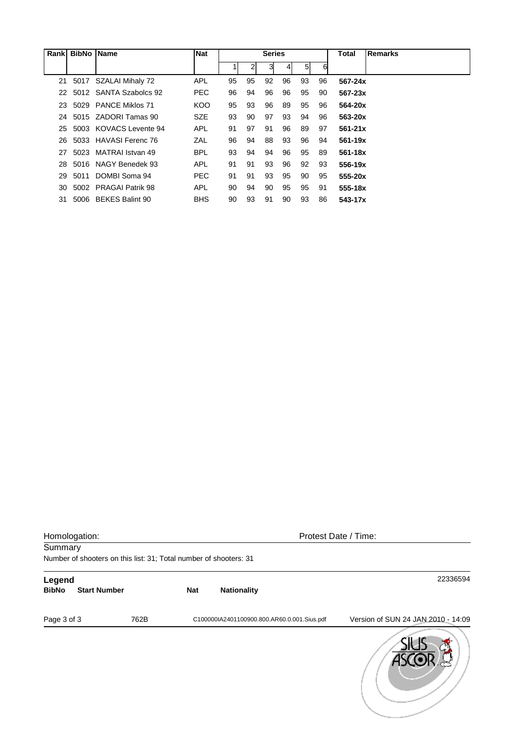| Rank | <b>BibNo</b> | <b>Name</b>             | <b>Nat</b> |    |                | <b>Series</b> |    |                |    | Total       | <b>Remarks</b> |
|------|--------------|-------------------------|------------|----|----------------|---------------|----|----------------|----|-------------|----------------|
|      |              |                         |            |    | $\overline{2}$ | 31            | 41 | 5 <sup>1</sup> | 6  |             |                |
|      | 21 5017      | SZALAI Mihaly 72        | <b>APL</b> | 95 | 95             | 92            | 96 | 93             | 96 | $567 - 24x$ |                |
| 22   |              | 5012 SANTA Szabolcs 92  | <b>PEC</b> | 96 | 94             | 96            | 96 | 95             | 90 | $567 - 23x$ |                |
| 23   | 5029         | <b>PANCE Miklos 71</b>  | KOO        | 95 | 93             | 96            | 89 | 95             | 96 | 564-20x     |                |
| 24   |              | 5015 ZADORI Tamas 90    | <b>SZE</b> | 93 | 90             | 97            | 93 | 94             | 96 | 563-20x     |                |
| 25   |              | 5003 KOVACS Levente 94  | <b>APL</b> | 91 | 97             | 91            | 96 | 89             | 97 | $561 - 21x$ |                |
| 26   |              | 5033 HAVASI Ferenc 76   | ZAL        | 96 | 94             | 88            | 93 | 96             | 94 | $561 - 19x$ |                |
| 27   |              | 5023 MATRAI Istvan 49   | <b>BPL</b> | 93 | 94             | 94            | 96 | 95             | 89 | 561-18x     |                |
| 28   |              | 5016 NAGY Benedek 93    | <b>APL</b> | 91 | 91             | 93            | 96 | 92             | 93 | 556-19x     |                |
| 29   | 5011         | DOMBI Soma 94           | <b>PEC</b> | 91 | 91             | 93            | 95 | 90             | 95 | 555-20x     |                |
| 30   | 5002         | <b>PRAGAI Patrik 98</b> | <b>APL</b> | 90 | 94             | 90            | 95 | 95             | 91 | 555-18x     |                |
| 31   |              | 5006 BEKES Balint 90    | <b>BHS</b> | 90 | 93             | 91            | 90 | 93             | 86 | 543-17x     |                |

|              | Homologation:                                                     |      |            | Protest Date / Time:                        |                                    |  |  |  |  |  |
|--------------|-------------------------------------------------------------------|------|------------|---------------------------------------------|------------------------------------|--|--|--|--|--|
| Summary      |                                                                   |      |            |                                             |                                    |  |  |  |  |  |
|              | Number of shooters on this list: 31; Total number of shooters: 31 |      |            |                                             |                                    |  |  |  |  |  |
| Legend       |                                                                   |      |            |                                             | 22336594                           |  |  |  |  |  |
| <b>BibNo</b> | <b>Start Number</b>                                               |      | <b>Nat</b> | <b>Nationality</b>                          |                                    |  |  |  |  |  |
| Page 3 of 3  |                                                                   | 762B |            | C100000IA2401100900.800.AR60.0.001.Sius.pdf | Version of SUN 24 JAN 2010 - 14:09 |  |  |  |  |  |
|              |                                                                   |      |            |                                             |                                    |  |  |  |  |  |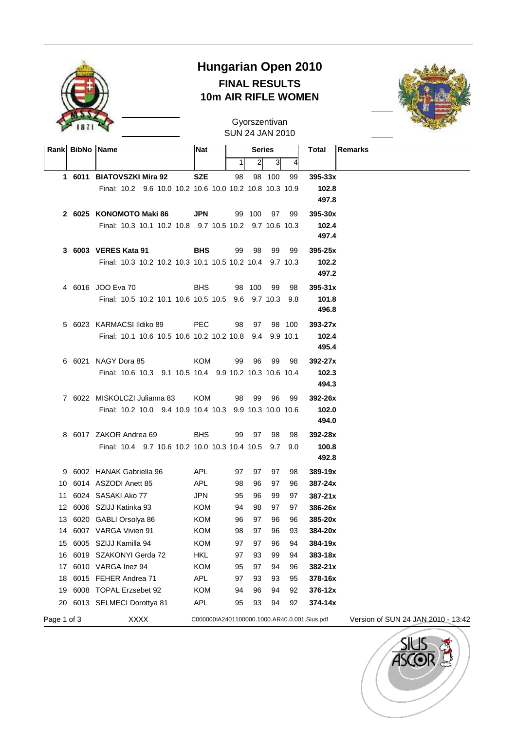

### **Hungarian Open 2010 FINAL RESULTS 10m AIR RIFLE WOMEN**



SUN 24 JAN 2010 Gyorszentivan

|             | Rank   BibNo   Name |                                                         | Nat                                          | <b>Series</b> |                | Total  | <b>Remarks</b> |                |                                    |
|-------------|---------------------|---------------------------------------------------------|----------------------------------------------|---------------|----------------|--------|----------------|----------------|------------------------------------|
|             |                     |                                                         |                                              | 1             | $\overline{2}$ | 3      | 4              |                |                                    |
|             |                     | 1 6011 BIATOVSZKI Mira 92                               | <b>SZE</b>                                   | 98            |                | 98 100 | 99             | $395 - 33x$    |                                    |
|             |                     | Final: 10.2 9.6 10.0 10.2 10.6 10.0 10.2 10.8 10.3 10.9 |                                              |               |                |        |                | 102.8          |                                    |
|             |                     |                                                         |                                              |               |                |        |                | 497.8          |                                    |
|             |                     | 2 6025 KONOMOTO Maki 86                                 | <b>JPN</b>                                   |               | 99 100         | 97     | 99             | $395 - 30x$    |                                    |
|             |                     | Final: 10.3 10.1 10.2 10.8 9.7 10.5 10.2 9.7 10.6 10.3  |                                              |               |                |        |                | 102.4          |                                    |
|             |                     |                                                         |                                              |               |                |        |                | 497.4          |                                    |
|             |                     | 3 6003 VERES Kata 91                                    | <b>BHS</b>                                   | 99            | 98             | 99     | 99             | $395 - 25x$    |                                    |
|             |                     | Final: 10.3 10.2 10.2 10.3 10.1 10.5 10.2 10.4 9.7 10.3 |                                              |               |                |        |                | 102.2          |                                    |
|             |                     |                                                         |                                              |               |                |        |                | 497.2          |                                    |
|             |                     | 4 6016 JOO Eva 70                                       | <b>BHS</b>                                   |               | 98 100         | 99     | 98             | $395 - 31x$    |                                    |
|             |                     | Final: 10.5 10.2 10.1 10.6 10.5 10.5 9.6 9.7 10.3 9.8   |                                              |               |                |        |                | 101.8          |                                    |
|             |                     |                                                         |                                              |               |                |        |                | 496.8          |                                    |
|             |                     | 5 6023 KARMACSI Ildiko 89                               | <b>PEC</b>                                   | 98            | 97             |        | 98 100         | $393 - 27x$    |                                    |
|             |                     | Final: 10.1 10.6 10.5 10.6 10.2 10.2 10.8 9.4 9.9 10.1  |                                              |               |                |        |                | 102.4          |                                    |
|             |                     |                                                         |                                              |               |                |        |                | 495.4          |                                    |
|             |                     | 6 6021 NAGY Dora 85                                     | KOM                                          | 99            | 96             | 99     | 98             | 392-27x        |                                    |
|             |                     | Final: 10.6 10.3 9.1 10.5 10.4 9.9 10.2 10.3 10.6 10.4  |                                              |               |                |        |                | 102.3          |                                    |
|             |                     |                                                         |                                              |               |                |        |                | 494.3          |                                    |
|             |                     | 7 6022 MISKOLCZI Julianna 83                            | KOM                                          | 98            | 99             | 96     | 99             | 392-26x        |                                    |
|             |                     | Final: 10.2 10.0 9.4 10.9 10.4 10.3 9.9 10.3 10.0 10.6  |                                              |               |                |        |                | 102.0<br>494.0 |                                    |
|             |                     | 8 6017 ZAKOR Andrea 69                                  | <b>BHS</b>                                   | 99            | 97             | 98     | 98             | 392-28x        |                                    |
|             |                     | Final: 10.4 9.7 10.6 10.2 10.0 10.3 10.4 10.5 9.7 9.0   |                                              |               |                |        |                | 100.8          |                                    |
|             |                     |                                                         |                                              |               |                |        |                | 492.8          |                                    |
|             |                     | 9 6002 HANAK Gabriella 96                               | APL                                          | 97            | 97             | 97     | 98             | 389-19x        |                                    |
|             |                     | 10 6014 ASZODI Anett 85                                 | APL                                          | 98            | 96             | 97     | 96             | 387-24x        |                                    |
| 11          |                     | 6024 SASAKI Ako 77                                      | <b>JPN</b>                                   | 95            | 96             | 99     | 97             | $387 - 21x$    |                                    |
|             |                     | 12 6006 SZIJJ Katinka 93                                | KOM                                          | 94            | 98             | 97     | 97             | 386-26x        |                                    |
|             |                     | 13 6020 GABLI Orsolya 86                                | <b>KOM</b>                                   | 96            | 97             | 96     | 96             | 385-20x        |                                    |
|             |                     | 14 6007 VARGA Vivien 91                                 | KOM                                          | 98            | 97             | 96     | 93             | 384-20x        |                                    |
| 15          |                     | 6005 SZIJJ Kamilla 94                                   | <b>KOM</b>                                   | 97            | 97             | 96     | 94             | 384-19x        |                                    |
| 16          |                     | 6019 SZAKONYI Gerda 72                                  | <b>HKL</b>                                   | 97            | 93             | 99     | 94             | 383-18x        |                                    |
| 17          |                     | 6010 VARGA Inez 94                                      | KOM                                          | 95            | 97             | 94     | 96             | 382-21x        |                                    |
| 18          |                     | 6015 FEHER Andrea 71                                    | APL                                          | 97            | 93             | 93     | 95             | 378-16x        |                                    |
| 19          |                     | 6008 TOPAL Erzsebet 92                                  | <b>KOM</b>                                   | 94            | 96             | 94     | 92             | 376-12x        |                                    |
| 20          |                     | 6013 SELMECI Dorottya 81                                | <b>APL</b>                                   | 95            | 93             | 94     | 92             | $374 - 14x$    |                                    |
| Page 1 of 3 |                     | <b>XXXX</b>                                             | C000000IA2401100000.1000.AR40.0.001.Sius.pdf |               |                |        |                |                | Version of SUN 24 JAN 2010 - 13:42 |